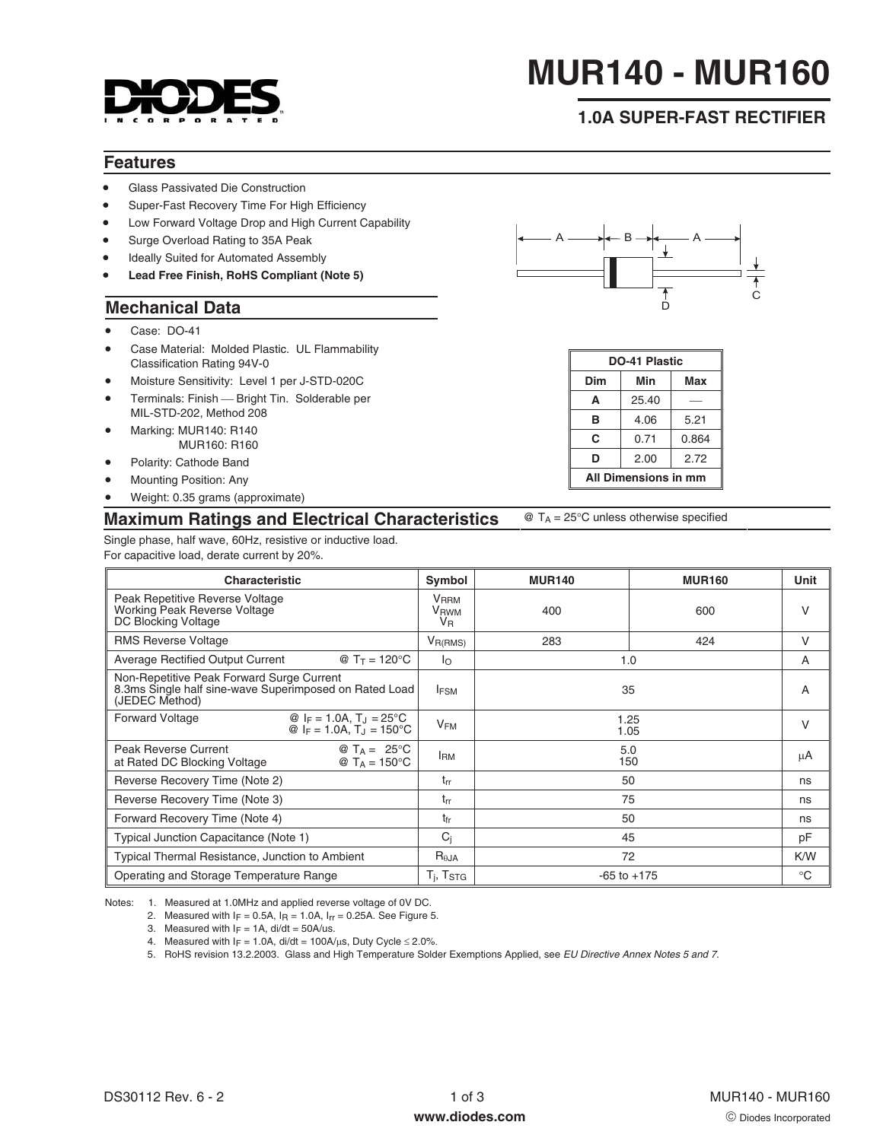

# **MUR140 - MUR160**

## **1.0A SUPER-FAST RECTIFIER**

#### **Features**

- Glass Passivated Die Construction
- Super-Fast Recovery Time For High Efficiency
- Low Forward Voltage Drop and High Current Capability
- Surge Overload Rating to 35A Peak
- Ideally Suited for Automated Assembly
- **Lead Free Finish, RoHS Compliant (Note 5)**

#### **Mechanical Data**

- Case: DO-41
- Case Material: Molded Plastic. UL Flammability Classification Rating 94V-0
- Moisture Sensitivity: Level 1 per J-STD-020C
- **•** Terminals: Finish Bright Tin. Solderable per MIL-STD-202, Method 208
- Marking: MUR140: R140 MUR160: R160
- Polarity: Cathode Band
- Mounting Position: Any
- Weight: 0.35 grams (approximate)

#### **Maximum Ratings and Electrical Characteristics** @ TA = 25°C unless otherwise specified

Single phase, half wave, 60Hz, resistive or inductive load. For capacitive load, derate current by 20%.

| <b>Characteristic</b>                                                                                                 | Symbol                                     | <b>MUR140</b>   | <b>MUR160</b> | Unit         |
|-----------------------------------------------------------------------------------------------------------------------|--------------------------------------------|-----------------|---------------|--------------|
| Peak Repetitive Reverse Voltage<br>Working Peak Reverse Voltage<br>DC Blocking Voltage                                | <b>V</b> <sub>RRM</sub><br>VRWM<br>$V_{R}$ | 400             | 600           | V            |
| <b>RMS Reverse Voltage</b>                                                                                            | $V_{R(RMS)}$                               | 283             | 424           | V            |
| <b>Average Rectified Output Current</b><br>@ $T_T = 120^{\circ}C$                                                     | $\mathsf{I}_{\Omega}$                      | 1.0             |               | A            |
| Non-Repetitive Peak Forward Surge Current<br>8.3ms Single half sine-wave Superimposed on Rated Load<br>(JEDEC Method) | <b>IFSM</b>                                | 35              |               | A            |
| <b>Forward Voltage</b><br>@ $I_F = 1.0A$ , $T_J = 25^{\circ}C$<br>@ $I_F = 1.0A$ , $T_J = 150^{\circ}C$               | <b>V<sub>FM</sub></b>                      | 1.25<br>1.05    |               | V            |
| <b>Peak Reverse Current</b><br>@ $T_A = 25^{\circ}$ C<br>at Rated DC Blocking Voltage<br>@ $T_A = 150^{\circ}C$       | <b>I</b> <sub>RM</sub>                     | 5.0<br>150      |               | μA           |
| Reverse Recovery Time (Note 2)                                                                                        | $t_{rr}$                                   | 50              |               | ns           |
| Reverse Recovery Time (Note 3)                                                                                        | $t_{rr}$                                   | 75              |               | ns           |
| Forward Recovery Time (Note 4)                                                                                        | tfr                                        | 50              |               | ns           |
| Typical Junction Capacitance (Note 1)                                                                                 | $C_j$                                      | 45              |               | pF           |
| <b>Typical Thermal Resistance, Junction to Ambient</b>                                                                | $R_{\theta JA}$                            | 72              |               | K/W          |
| Operating and Storage Temperature Range<br>$T_i$ , $T_{\rm STG}$                                                      |                                            | $-65$ to $+175$ |               | $^{\circ}$ C |

Notes: 1. Measured at 1.0MHz and applied reverse voltage of 0V DC.

2. Measured with  $I_F = 0.5A$ ,  $I_R = 1.0A$ ,  $I_{rr} = 0.25A$ . See Figure 5.

3. Measured with  $I_F = 1A$ , di/dt = 50A/us.

4. Measured with  $I_F = 1.0A$ , di/dt = 100A/ $\mu$ s, Duty Cycle  $\leq$  2.0%.

5. RoHS revision 13.2.2003. Glass and High Temperature Solder Exemptions Applied, see [EU Directive Annex Notes 5 and 7.](http://europa.eu.int/eur-lex/pri/en/oj/dat/2003/l_037/l_03720030213en00190023.pdf)



| DO-41 Plastic        |       |       |  |  |
|----------------------|-------|-------|--|--|
| Dim                  | Min   | Max   |  |  |
| A                    | 25.40 |       |  |  |
| в                    | 4.06  | 5.21  |  |  |
| C                    | 0.71  | 0.864 |  |  |
| D                    | 2.00  | 2.72  |  |  |
| All Dimensions in mm |       |       |  |  |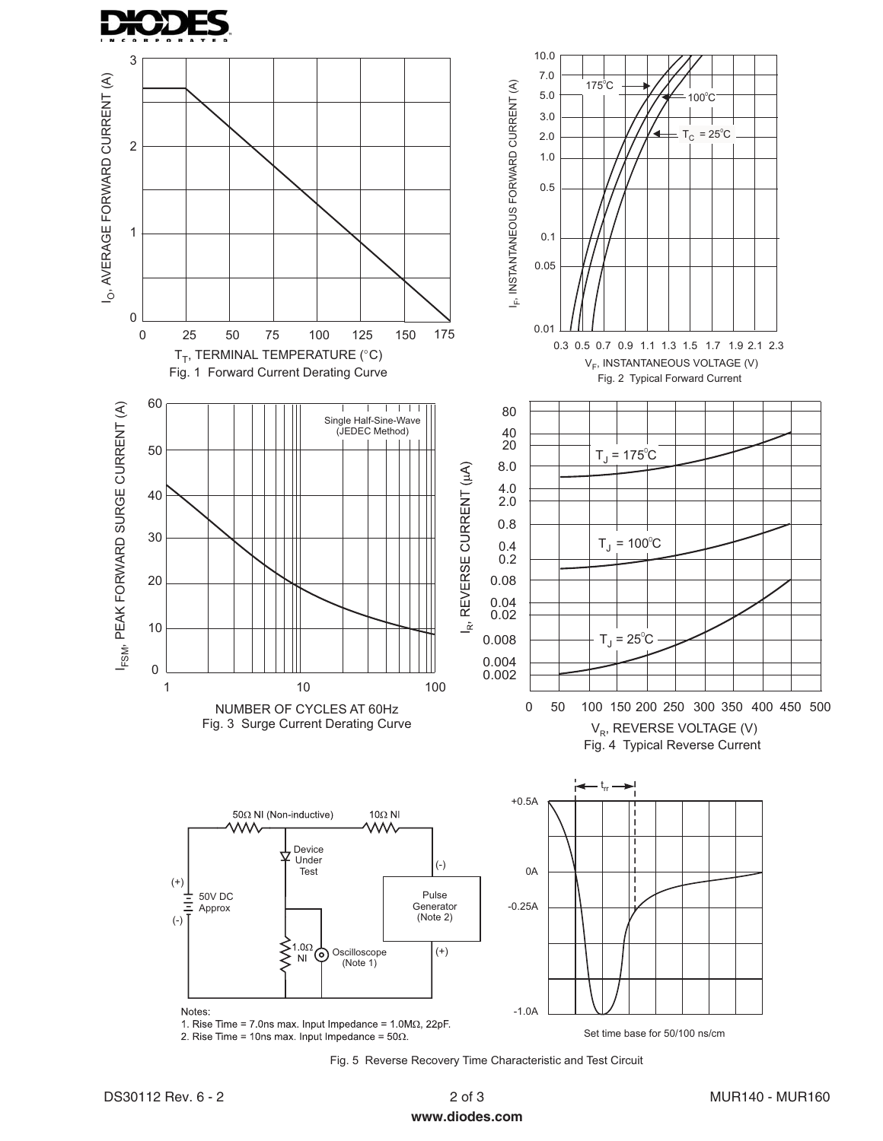



Fig. 5 Reverse Recovery Time Characteristic and Test Circuit